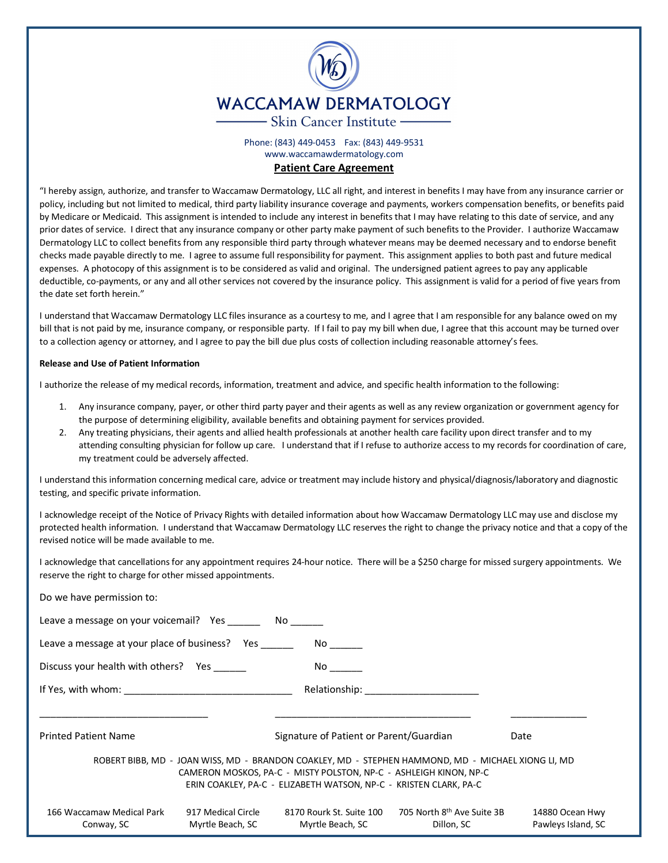

Phone: (843) 449-0453 Fax: (843) 449-9531 www.waccamawdermatology.com

## **Patient Care Agreement**

"I hereby assign, authorize, and transfer to Waccamaw Dermatology, LLC all right, and interest in benefits I may have from any insurance carrier or policy, including but not limited to medical, third party liability insurance coverage and payments, workers compensation benefits, or benefits paid by Medicare or Medicaid. This assignment is intended to include any interest in benefits that I may have relating to this date of service, and any prior dates of service. I direct that any insurance company or other party make payment of such benefits to the Provider. I authorize Waccamaw Dermatology LLC to collect benefits from any responsible third party through whatever means may be deemed necessary and to endorse benefit checks made payable directly to me. I agree to assume full responsibility for payment. This assignment applies to both past and future medical expenses. A photocopy of this assignment is to be considered as valid and original. The undersigned patient agrees to pay any applicable deductible, co-payments, or any and all other services not covered by the insurance policy. This assignment is valid for a period of five years from the date set forth herein."

I understand that Waccamaw Dermatology LLC files insurance as a courtesy to me, and I agree that I am responsible for any balance owed on my bill that is not paid by me, insurance company, or responsible party. If I fail to pay my bill when due, I agree that this account may be turned over to a collection agency or attorney, and I agree to pay the bill due plus costs of collection including reasonable attorney's fees.

## **Release and Use of Patient Information**

I authorize the release of my medical records, information, treatment and advice, and specific health information to the following:

- 1. Any insurance company, payer, or other third party payer and their agents as well as any review organization or government agency for the purpose of determining eligibility, available benefits and obtaining payment for services provided.
- 2. Any treating physicians, their agents and allied health professionals at another health care facility upon direct transfer and to my attending consulting physician for follow up care. I understand that if I refuse to authorize access to my records for coordination of care, my treatment could be adversely affected.

I understand this information concerning medical care, advice or treatment may include history and physical/diagnosis/laboratory and diagnostic testing, and specific private information.

I acknowledge receipt of the Notice of Privacy Rights with detailed information about how Waccamaw Dermatology LLC may use and disclose my protected health information. I understand that Waccamaw Dermatology LLC reserves the right to change the privacy notice and that a copy of the revised notice will be made available to me.

I acknowledge that cancellations for any appointment requires 24-hour notice. There will be a \$250 charge for missed surgery appointments. We reserve the right to charge for other missed appointments.

| Do we have permission to:                                                                                                                                                                                                                    |                                                                                                                 |                                       |
|----------------------------------------------------------------------------------------------------------------------------------------------------------------------------------------------------------------------------------------------|-----------------------------------------------------------------------------------------------------------------|---------------------------------------|
| Leave a message on your voicemail? Yes _________ No _______                                                                                                                                                                                  |                                                                                                                 |                                       |
| Leave a message at your place of business? Yes                                                                                                                                                                                               |                                                                                                                 |                                       |
| Discuss your health with others? Yes                                                                                                                                                                                                         | No control of the set of the set of the set of the set of the set of the set of the set of the set of the set o |                                       |
|                                                                                                                                                                                                                                              |                                                                                                                 |                                       |
|                                                                                                                                                                                                                                              |                                                                                                                 |                                       |
| <b>Printed Patient Name</b>                                                                                                                                                                                                                  | Signature of Patient or Parent/Guardian                                                                         | Date                                  |
| ROBERT BIBB, MD - JOAN WISS, MD - BRANDON COAKLEY, MD - STEPHEN HAMMOND, MD - MICHAEL XIONG LI, MD<br>CAMERON MOSKOS, PA-C - MISTY POLSTON, NP-C - ASHLEIGH KINON, NP-C<br>ERIN COAKLEY, PA-C - ELIZABETH WATSON, NP-C - KRISTEN CLARK, PA-C |                                                                                                                 |                                       |
| 166 Waccamaw Medical Park<br>917 Medical Circle<br>Myrtle Beach, SC<br>Conway, SC                                                                                                                                                            | 705 North 8 <sup>th</sup> Ave Suite 3B<br>8170 Rourk St. Suite 100<br>Myrtle Beach, SC<br>Dillon, SC            | 14880 Ocean Hwy<br>Pawleys Island, SC |